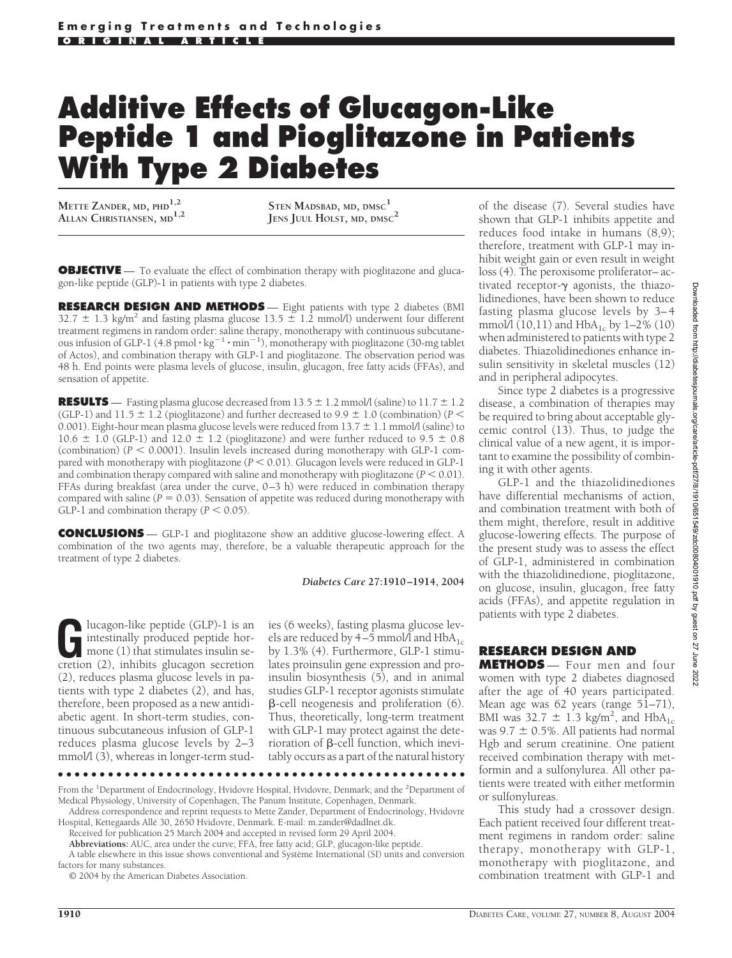# **Additive Effects of Glucagon-Like Peptide 1 and Pioglitazone in Patients With Type 2 Diabetes**

**METTE ZANDER, MD, PHD1,2 ALLAN CHRISTIANSEN, MD1,2**

**STEN MADSBAD, MD, DMSC<sup>1</sup> JENS JUUL HOLST, MD, DMSC<sup>2</sup>**

**OBJECTIVE** — To evaluate the effect of combination therapy with pioglitazone and glucagon-like peptide (GLP)-1 in patients with type 2 diabetes.

**RESEARCH DESIGN AND METHODS** — Eight patients with type 2 diabetes (BMI  $32.7 \pm 1.3$  kg/m<sup>2</sup> and fasting plasma glucose 13.5  $\pm$  1.2 mmol/l) underwent four different treatment regimens in random order: saline therapy, monotherapy with continuous subcutaneous infusion of GLP-1 (4.8 pmol  $\cdot$  kg<sup>-1</sup>  $\cdot$  min<sup>-1</sup>), monotherapy with pioglitazone (30-mg tablet of Actos), and combination therapy with GLP-1 and pioglitazone. The observation period was 48 h. End points were plasma levels of glucose, insulin, glucagon, free fatty acids (FFAs), and sensation of appetite.

**RESULTS** — Fasting plasma glucose decreased from  $13.5 \pm 1.2$  mmol/l (saline) to  $11.7 \pm 1.2$ (GLP-1) and 11.5  $\pm$  1.2 (pioglitazone) and further decreased to 9.9  $\pm$  1.0 (combination) (*P* < 0.001). Eight-hour mean plasma glucose levels were reduced from  $13.7 \pm 1.1$  mmol/l (saline) to  $10.6 \pm 1.0$  (GLP-1) and  $12.0 \pm 1.2$  (pioglitazone) and were further reduced to  $9.5 \pm 0.8$ (combination)  $(P < 0.0001)$ . Insulin levels increased during monotherapy with GLP-1 compared with monotherapy with pioglitazone  $(P \le 0.01)$ . Glucagon levels were reduced in GLP-1 and combination therapy compared with saline and monotherapy with pioglitazone  $(P < 0.01)$ . FFAs during breakfast (area under the curve, 0–3 h) were reduced in combination therapy compared with saline ( $P = 0.03$ ). Sensation of appetite was reduced during monotherapy with GLP-1 and combination therapy  $(P < 0.05)$ .

**CONCLUSIONS** — GLP-1 and pioglitazone show an additive glucose-lowering effect. A combination of the two agents may, therefore, be a valuable therapeutic approach for the treatment of type 2 diabetes.

#### *Diabetes Care* **27:1910–1914, 2004**

Iucagon-like peptide (GLP)-1 is an<br>intestinally produced peptide hor-<br>mone (1) that stimulates insulin se-<br>cretion (2) inhibits glucagon secretion intestinally produced peptide hormone (1) that stimulates insulin secretion (2), inhibits glucagon secretion (2), reduces plasma glucose levels in patients with type 2 diabetes (2), and has, therefore, been proposed as a new antidiabetic agent. In short-term studies, continuous subcutaneous infusion of GLP-1 reduces plasma glucose levels by 2–3 mmol/l (3), whereas in longer-term stud-

ies (6 weeks), fasting plasma glucose levels are reduced by 4–5 mmol/l and  $HbA_{1c}$ by 1.3% (4). Furthermore, GLP-1 stimulates proinsulin gene expression and proinsulin biosynthesis (5), and in animal studies GLP-1 receptor agonists stimulate  $\beta$ -cell neogenesis and proliferation (6). Thus, theoretically, long-term treatment with GLP-1 may protect against the deterioration of  $\beta$ -cell function, which inevitably occurs as a part of the natural history

●●●●●●●●●●●●●●●●●●●●●●●●●●●●●●●●●●●●●●●●●●●●●●●●●

factors for many substances.

© 2004 by the American Diabetes Association.

of the disease (7). Several studies have shown that GLP-1 inhibits appetite and reduces food intake in humans (8,9); therefore, treatment with GLP-1 may inhibit weight gain or even result in weight loss (4). The peroxisome proliferator– activated receptor- $\gamma$  agonists, the thiazolidinediones, have been shown to reduce fasting plasma glucose levels by 3–4 mmol/l  $(10,11)$  and HbA<sub>1c</sub> by 1–2%  $(10)$ when administered to patients with type 2 diabetes. Thiazolidinediones enhance insulin sensitivity in skeletal muscles (12) and in peripheral adipocytes.

Since type 2 diabetes is a progressive disease, a combination of therapies may be required to bring about acceptable glycemic control (13). Thus, to judge the clinical value of a new agent, it is important to examine the possibility of combining it with other agents.

GLP-1 and the thiazolidinediones have differential mechanisms of action, and combination treatment with both of them might, therefore, result in additive glucose-lowering effects. The purpose of the present study was to assess the effect of GLP-1, administered in combination with the thiazolidinedione, pioglitazone, on glucose, insulin, glucagon, free fatty acids (FFAs), and appetite regulation in patients with type 2 diabetes.

# **RESEARCH DESIGN AND**

**METHODS** — Four men and four women with type 2 diabetes diagnosed after the age of 40 years participated. Mean age was 62 years (range 51-71), BMI was  $32.7 \pm 1.3$  kg/m<sup>2</sup>, and HbA<sub>1c</sub> was  $9.7 \pm 0.5\%$ . All patients had normal Hgb and serum creatinine. One patient received combination therapy with metformin and a sulfonylurea. All other patients were treated with either metformin or sulfonylureas.

This study had a crossover design. Each patient received four different treatment regimens in random order: saline therapy, monotherapy with GLP-1, monotherapy with pioglitazone, and combination treatment with GLP-1 and

From the <sup>1</sup>Department of Endocrinology, Hvidovre Hospital, Hvidovre, Denmark; and the <sup>2</sup>Department of Medical Physiology, University of Copenhagen, The Panum Institute, Copenhagen, Denmark.

Address correspondence and reprint requests to Mette Zander, Department of Endocrinology, Hvidovre Hospital, Kettegaards Allé 30, 2650 Hvidovre, Denmark. E-mail: m.zander@dadlnet.dk.

Received for publication 25 March 2004 and accepted in revised form 29 April 2004.

**Abbreviations:** AUC, area under the curve; FFA, free fatty acid; GLP, glucagon-like peptide. A table elsewhere in this issue shows conventional and Système International (SI) units and conversion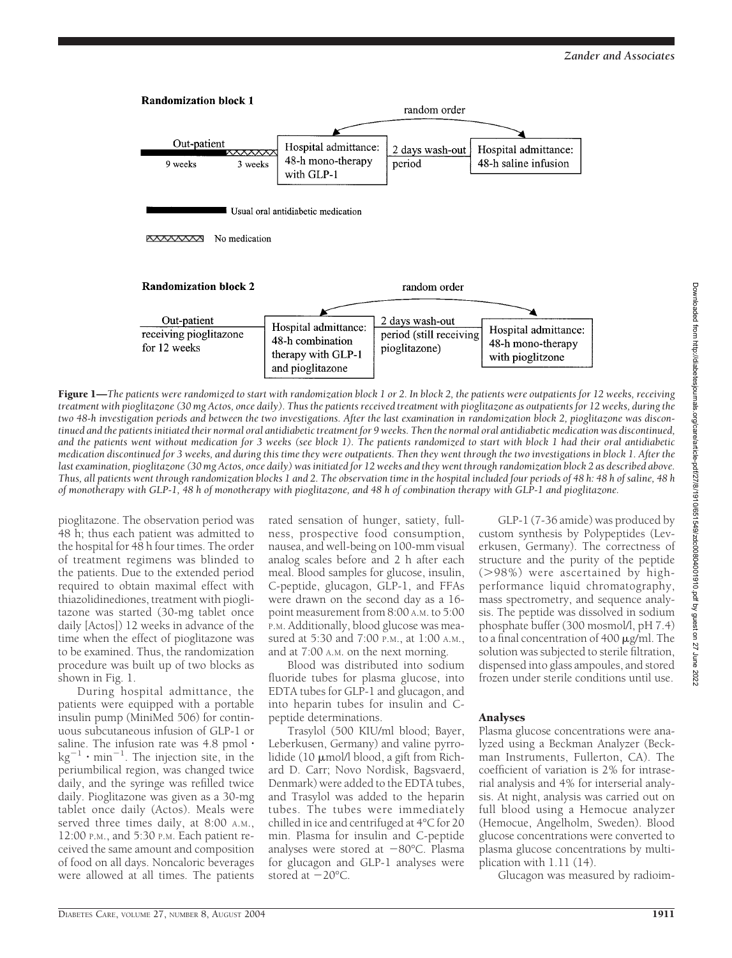

Figure 1—The patients were randomized to start with randomization block 1 or 2. In block 2, the patients were outpatients for 12 weeks, receiving *treatment with pioglitazone (30 mg Actos, once daily). Thus the patients received treatment with pioglitazone as outpatients for 12 weeks, during the two 48-h investigation periods and between the two investigations. After the last examination in randomization block 2, pioglitazone was discontinued and the patients initiated their normal oral antidiabetic treatment for 9 weeks. Then the normal oral antidiabetic medication was discontinued, and the patients went without medication for 3 weeks (see block 1). The patients randomized to start with block 1 had their oral antidiabetic medication discontinued for 3 weeks, and during this time they were outpatients. Then they went through the two investigations in block 1. After the last examination, pioglitazone (30 mg Actos, once daily) was initiated for 12 weeks and they went through randomization block 2 as described above. Thus, all patients went through randomization blocks 1 and 2. The observation time in the hospital included four periods of 48 h: 48 h of saline, 48 h of monotherapy with GLP-1, 48 h of monotherapy with pioglitazone, and 48 h of combination therapy with GLP-1 and pioglitazone.*

pioglitazone. The observation period was 48 h; thus each patient was admitted to the hospital for  $48$  h four times. The order of treatment regimens was blinded to the patients. Due to the extended period required to obtain maximal effect with thiazolidinediones, treatment with pioglitazone was started (30-mg tablet once daily [Actos]) 12 weeks in advance of the time when the effect of pioglitazone was to be examined. Thus, the randomization procedure was built up of two blocks as shown in Fig. 1.

During hospital admittance, the patients were equipped with a portable insulin pump (MiniMed 506) for continuous subcutaneous infusion of GLP-1 or saline. The infusion rate was  $4.8$  pmol $\cdot$  $\text{kg}^{-1} \cdot \text{min}^{-1}$ . The injection site, in the periumbilical region, was changed twice daily, and the syringe was refilled twice daily. Pioglitazone was given as a 30-mg tablet once daily (Actos). Meals were served three times daily, at 8:00 A.M., 12:00 P.M., and 5:30 P.M. Each patient received the same amount and composition of food on all days. Noncaloric beverages were allowed at all times. The patients

rated sensation of hunger, satiety, fullness, prospective food consumption, nausea, and well-being on 100-mm visual analog scales before and 2 h after each meal. Blood samples for glucose, insulin, C-peptide, glucagon, GLP-1, and FFAs were drawn on the second day as a 16 point measurement from 8:00 A.M. to 5:00 P.M. Additionally, blood glucose was measured at 5:30 and 7:00 P.M., at 1:00 A.M., and at 7:00 A.M. on the next morning.

Blood was distributed into sodium fluoride tubes for plasma glucose, into EDTA tubes for GLP-1 and glucagon, and into heparin tubes for insulin and Cpeptide determinations.

Trasylol (500 KIU/ml blood; Bayer, Leberkusen, Germany) and valine pyrrolidide (10  $\mu$ mol/l blood, a gift from Richard D. Carr; Novo Nordisk, Bagsvaerd, Denmark) were added to the EDTA tubes, and Trasylol was added to the heparin tubes. The tubes were immediately chilled in ice and centrifuged at 4°C for 20 min. Plasma for insulin and C-peptide analyses were stored at  $-80^{\circ}$ C. Plasma for glucagon and GLP-1 analyses were stored at  $-20^{\circ}$ C.

GLP-1 (7-36 amide) was produced by custom synthesis by Polypeptides (Leverkusen, Germany). The correctness of structure and the purity of the peptide (98%) were ascertained by highperformance liquid chromatography, mass spectrometry, and sequence analysis. The peptide was dissolved in sodium phosphate buffer (300 mosmol/l, pH 7.4) to a final concentration of 400  $\mu$ g/ml. The solution was subjected to sterile filtration, dispensed into glass ampoules, and stored frozen under sterile conditions until use.

# Analyses

Plasma glucose concentrations were analyzed using a Beckman Analyzer (Beckman Instruments, Fullerton, CA). The coefficient of variation is 2% for intraserial analysis and 4% for interserial analysis. At night, analysis was carried out on full blood using a Hemocue analyzer (Hemocue, Angelholm, Sweden). Blood glucose concentrations were converted to plasma glucose concentrations by multiplication with 1.11 (14).

Glucagon was measured by radioim-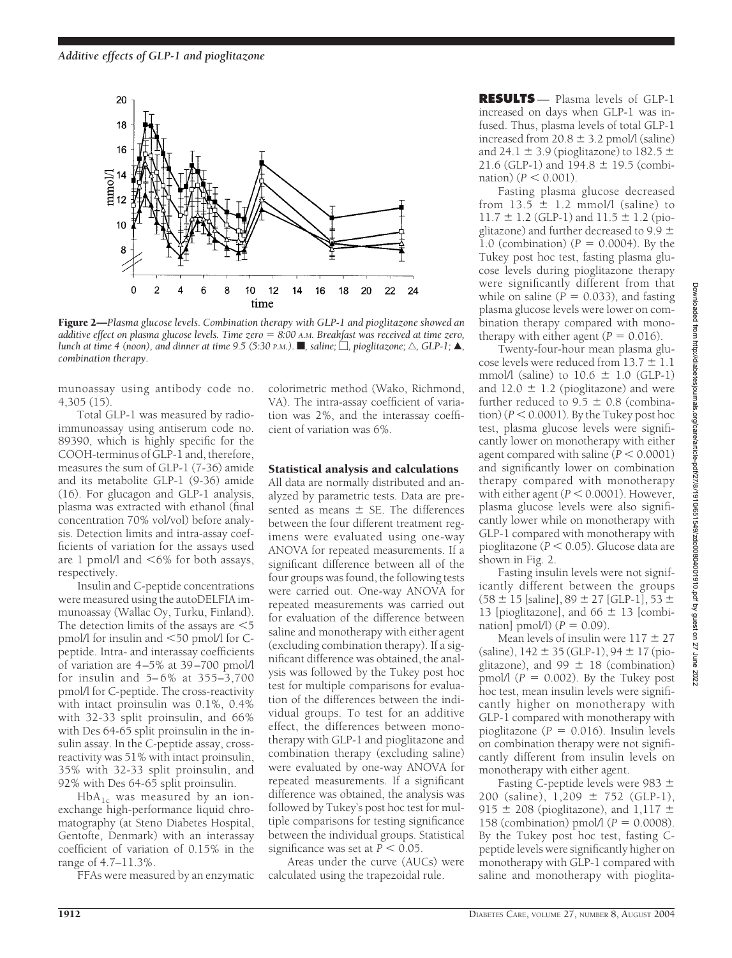

Figure 2—*Plasma glucose levels. Combination therapy with GLP-1 and pioglitazone showed an additive effect on plasma glucose levels. Time zero 8:00 A.M. Breakfast was received at time zero, lunch at time 4 (noon), and dinner at time 9.5 (5:30 P.M.).* **f**, saline;  $\Box$ , pioglitazone;  $\triangle$ , GLP-1;  $\blacktriangle$ , *combination therapy.*

munoassay using antibody code no. 4,305 (15).

Total GLP-1 was measured by radioimmunoassay using antiserum code no. 89390, which is highly specific for the COOH-terminus of GLP-1 and, therefore, measures the sum of GLP-1 (7-36) amide and its metabolite GLP-1 (9-36) amide (16). For glucagon and GLP-1 analysis, plasma was extracted with ethanol (final concentration 70% vol/vol) before analysis. Detection limits and intra-assay coefficients of variation for the assays used are 1 pmol/l and  $<6\%$  for both assays, respectively.

Insulin and C-peptide concentrations were measured using the autoDELFIA immunoassay (Wallac Oy, Turku, Finland). The detection limits of the assays are  $\leq 5$ pmol/l for insulin and <50 pmol/l for Cpeptide. Intra- and interassay coefficients of variation are 4–5% at 39–700 pmol/l for insulin and 5– 6% at 355–3,700 pmol/l for C-peptide. The cross-reactivity with intact proinsulin was 0.1%, 0.4% with 32-33 split proinsulin, and 66% with Des 64-65 split proinsulin in the insulin assay. In the C-peptide assay, crossreactivity was 51% with intact proinsulin, 35% with 32-33 split proinsulin, and 92% with Des 64-65 split proinsulin.

 $HbA_{1c}$  was measured by an ionexchange high-performance liquid chromatography (at Steno Diabetes Hospital, Gentofte, Denmark) with an interassay coefficient of variation of 0.15% in the range of 4.7–11.3%.

FFAs were measured by an enzymatic

colorimetric method (Wako, Richmond, VA). The intra-assay coefficient of variation was 2%, and the interassay coefficient of variation was 6%.

### Statistical analysis and calculations

All data are normally distributed and analyzed by parametric tests. Data are presented as means  $\pm$  SE. The differences between the four different treatment regimens were evaluated using one-way ANOVA for repeated measurements. If a significant difference between all of the four groups was found, the following tests were carried out. One-way ANOVA for repeated measurements was carried out for evaluation of the difference between saline and monotherapy with either agent (excluding combination therapy). If a significant difference was obtained, the analysis was followed by the Tukey post hoc test for multiple comparisons for evaluation of the differences between the individual groups. To test for an additive effect, the differences between monotherapy with GLP-1 and pioglitazone and combination therapy (excluding saline) were evaluated by one-way ANOVA for repeated measurements. If a significant difference was obtained, the analysis was followed by Tukey's post hoc test for multiple comparisons for testing significance between the individual groups. Statistical significance was set at  $P < 0.05$ .

Areas under the curve (AUCs) were calculated using the trapezoidal rule.

**RESULTS** — Plasma levels of GLP-1 increased on days when GLP-1 was infused. Thus, plasma levels of total GLP-1 increased from  $20.8 \pm 3.2$  pmol/l (saline) and 24.1  $\pm$  3.9 (pioglitazone) to 182.5  $\pm$ 21.6 (GLP-1) and  $194.8 \pm 19.5$  (combination)  $(P < 0.001)$ .

Fasting plasma glucose decreased from  $13.5 \pm 1.2$  mmol/l (saline) to  $11.7 \pm 1.2$  (GLP-1) and  $11.5 \pm 1.2$  (pioglitazone) and further decreased to  $9.9 \pm$ 1.0 (combination)  $(P = 0.0004)$ . By the Tukey post hoc test, fasting plasma glucose levels during pioglitazone therapy were significantly different from that while on saline ( $\overrightarrow{P}$  = 0.033), and fasting plasma glucose levels were lower on combination therapy compared with monotherapy with either agent  $(P = 0.016)$ .

Twenty-four-hour mean plasma glucose levels were reduced from  $13.7 \pm 1.1$ mmol/l (saline) to  $10.6 \pm 1.0$  (GLP-1) and  $12.0 \pm 1.2$  (pioglitazone) and were further reduced to 9.5  $\pm$  0.8 (combina- $\tau$  tion) ( $P < 0.0001$ ). By the Tukey post hoc test, plasma glucose levels were significantly lower on monotherapy with either agent compared with saline  $(P < 0.0001)$ and significantly lower on combination therapy compared with monotherapy with either agent  $(P < 0.0001)$ . However, plasma glucose levels were also significantly lower while on monotherapy with GLP-1 compared with monotherapy with pioglitazone (*P* 0.05). Glucose data are shown in Fig. 2.

Fasting insulin levels were not significantly different between the groups  $(58 \pm 15 \text{ [saline]}, 89 \pm 27 \text{ [GLP-1]}, 53 \pm 11)$ 13 [pioglitazone], and  $66 \pm 13$  [combination] pmol/l)  $(P = 0.09)$ .

Mean levels of insulin were  $117 \pm 27$  $(saline)$ , 142  $\pm$  35 (GLP-1), 94  $\pm$  17 (pioglitazone), and  $99 \pm 18$  (combination) pmol/l  $(P = 0.002)$ . By the Tukey post hoc test, mean insulin levels were significantly higher on monotherapy with GLP-1 compared with monotherapy with pioglitazone ( $P = 0.016$ ). Insulin levels on combination therapy were not significantly different from insulin levels on monotherapy with either agent.

Fasting C-peptide levels were 983 200 (saline),  $1,209 \pm 752$  (GLP-1), 915  $\pm$  208 (pioglitazone), and 1,117  $\pm$ 158 (combination) pmol $(1P = 0.0008)$ . By the Tukey post hoc test, fasting Cpeptide levels were significantly higher on monotherapy with GLP-1 compared with saline and monotherapy with pioglita-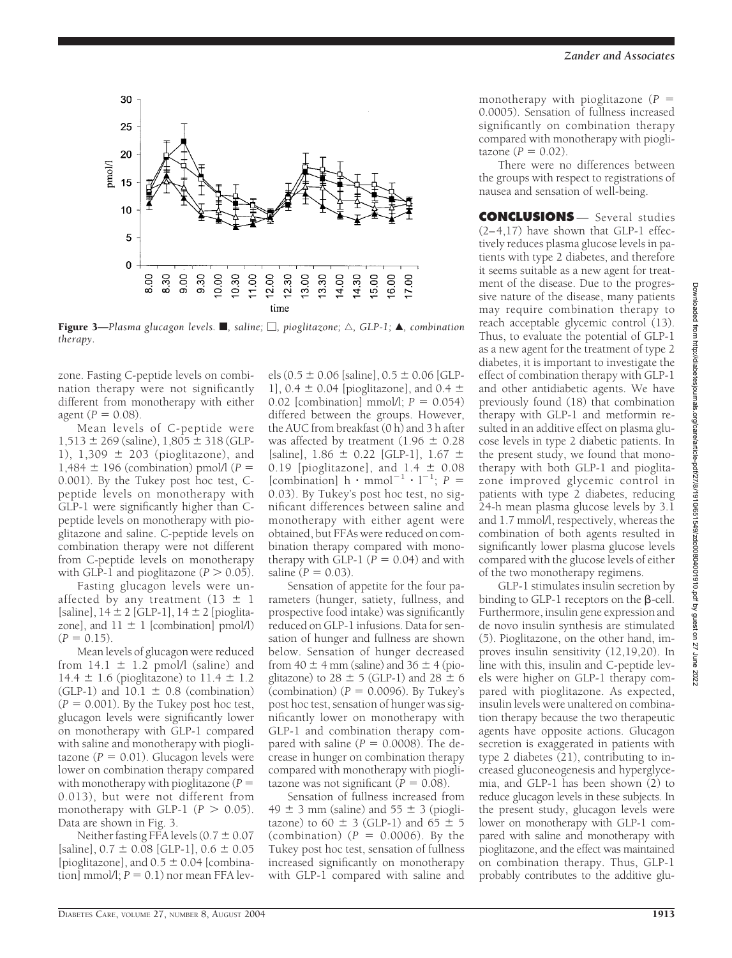

**Figure 3—**Plasma glucagon levels.  $\blacksquare$ , saline;  $\Box$ , pioglitazone;  $\triangle$ , GLP-1;  $\blacktriangle$ , combination *therapy.*

zone. Fasting C-peptide levels on combination therapy were not significantly different from monotherapy with either agent  $(P = 0.08)$ .

Mean levels of C-peptide were  $1,513 \pm 269$  (saline),  $1,805 \pm 318$  (GLP-1),  $1,309 \pm 203$  (pioglitazone), and 1,484  $\pm$  196 (combination) pmol/l ( $P =$ 0.001). By the Tukey post hoc test, Cpeptide levels on monotherapy with GLP-1 were significantly higher than Cpeptide levels on monotherapy with pioglitazone and saline. C-peptide levels on combination therapy were not different from C-peptide levels on monotherapy with GLP-1 and pioglitazone  $(P > 0.05)$ .

Fasting glucagon levels were unaffected by any treatment (13  $\pm$  1 [saline],  $14 \pm 2$  [GLP-1],  $14 \pm 2$  [pioglitazone], and  $11 \pm 1$  [combination] pmol/l)  $(P = 0.15)$ .

Mean levels of glucagon were reduced from  $14.1 \pm 1.2$  pmol/l (saline) and 14.4  $\pm$  1.6 (pioglitazone) to 11.4  $\pm$  1.2 (GLP-1) and  $10.1 \pm 0.8$  (combination)  $(P = 0.001)$ . By the Tukey post hoc test, glucagon levels were significantly lower on monotherapy with GLP-1 compared with saline and monotherapy with pioglitazone  $(P = 0.01)$ . Glucagon levels were lower on combination therapy compared with monotherapy with pioglitazone (*P* 0.013), but were not different from monotherapy with GLP-1  $(P > 0.05)$ . Data are shown in Fig. 3.

Neither fasting FFA levels  $(0.7 \pm 0.07)$ [saline],  $0.7 \pm 0.08$  [GLP-1],  $0.6 \pm 0.05$ [pioglitazone], and  $0.5 \pm 0.04$  [combina- $\text{tion}$  mmol/l;  $P = 0.1$ ) nor mean FFA lev-

els (0.5  $\pm$  0.06 [saline], 0.5  $\pm$  0.06 [GLP-1],  $0.4 \pm 0.04$  [pioglitazone], and  $0.4 \pm 1$ 0.02 [combination] mmol/l;  $P = 0.054$ ] differed between the groups. However, the AUC from breakfast (0 h) and 3 h after was affected by treatment (1.96  $\pm$  0.28 [saline],  $1.86 \pm 0.22$  [GLP-1],  $1.67 \pm 0.22$ 0.19 [pioglitazone], and  $1.4 \pm 0.08$ [combination]  $h \cdot m$ mmol<sup>-1</sup>  $\cdot$  l<sup>-1</sup>;  $P =$ 0.03). By Tukey's post hoc test, no significant differences between saline and monotherapy with either agent were obtained, but FFAs were reduced on combination therapy compared with monotherapy with GLP-1  $(P = 0.04)$  and with saline  $(P = 0.03)$ .

Sensation of appetite for the four parameters (hunger, satiety, fullness, and prospective food intake) was significantly reduced on GLP-1 infusions. Data for sensation of hunger and fullness are shown below. Sensation of hunger decreased from 40  $\pm$  4 mm (saline) and 36  $\pm$  4 (pioglitazone) to  $28 \pm 5$  (GLP-1) and  $28 \pm 6$ (combination)  $(P = 0.0096)$ . By Tukey's post hoc test, sensation of hunger was significantly lower on monotherapy with GLP-1 and combination therapy compared with saline  $(P = 0.0008)$ . The decrease in hunger on combination therapy compared with monotherapy with pioglitazone was not significant  $(P = 0.08)$ .

Sensation of fullness increased from 49  $\pm$  3 mm (saline) and 55  $\pm$  3 (pioglitazone) to 60  $\pm$  3 (GLP-1) and 65  $\pm$  5 (combination)  $(P = 0.0006)$ . By the Tukey post hoc test, sensation of fullness increased significantly on monotherapy with GLP-1 compared with saline and

monotherapy with pioglitazone (*P* 0.0005). Sensation of fullness increased significantly on combination therapy compared with monotherapy with piogli $t$ azone ( $P = 0.02$ ).

There were no differences between the groups with respect to registrations of nausea and sensation of well-being.

**CONCLUSIONS** — Several studies (2–4,17) have shown that GLP-1 effectively reduces plasma glucose levels in patients with type 2 diabetes, and therefore it seems suitable as a new agent for treatment of the disease. Due to the progressive nature of the disease, many patients may require combination therapy to reach acceptable glycemic control (13). Thus, to evaluate the potential of GLP-1 as a new agent for the treatment of type 2 diabetes, it is important to investigate the effect of combination therapy with GLP-1 and other antidiabetic agents. We have previously found (18) that combination therapy with GLP-1 and metformin resulted in an additive effect on plasma glucose levels in type 2 diabetic patients. In the present study, we found that monotherapy with both GLP-1 and pioglitazone improved glycemic control in patients with type 2 diabetes, reducing 24-h mean plasma glucose levels by 3.1 and 1.7 mmol/l, respectively, whereas the combination of both agents resulted in significantly lower plasma glucose levels compared with the glucose levels of either of the two monotherapy regimens.

GLP-1 stimulates insulin secretion by binding to GLP-1 receptors on the  $\beta$ -cell. Furthermore, insulin gene expression and de novo insulin synthesis are stimulated (5). Pioglitazone, on the other hand, improves insulin sensitivity (12,19,20). In line with this, insulin and C-peptide levels were higher on GLP-1 therapy compared with pioglitazone. As expected, insulin levels were unaltered on combination therapy because the two therapeutic agents have opposite actions. Glucagon secretion is exaggerated in patients with type 2 diabetes (21), contributing to increased gluconeogenesis and hyperglycemia, and GLP-1 has been shown  $(2)$  to reduce glucagon levels in these subjects. In the present study, glucagon levels were lower on monotherapy with GLP-1 compared with saline and monotherapy with pioglitazone, and the effect was maintained on combination therapy. Thus, GLP-1 probably contributes to the additive glu-